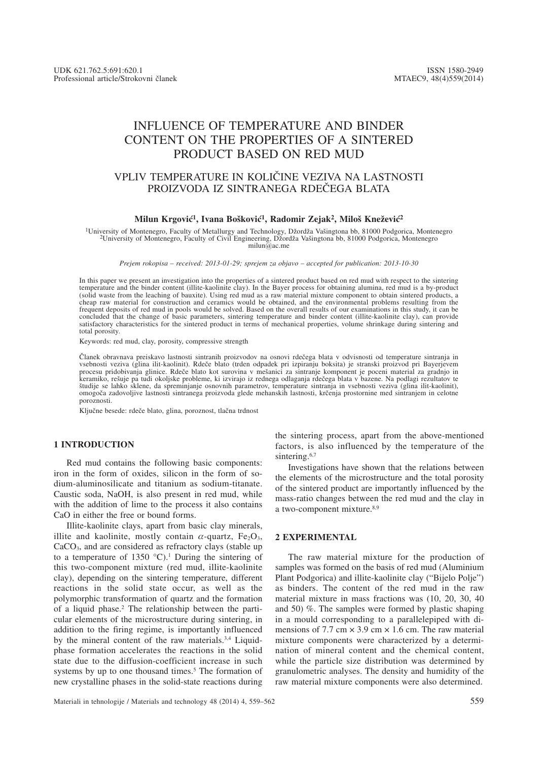# INFLUENCE OF TEMPERATURE AND BINDER CONTENT ON THE PROPERTIES OF A SINTERED PRODUCT BASED ON RED MUD

## VPLIV TEMPERATURE IN KOLIČINE VEZIVA NA LASTNOSTI PROIZVODA IZ SINTRANEGA RDEČEGA BLATA

#### Milun Krgović<sup>1</sup>, Ivana Bošković<sup>1</sup>, Radomir Zejak<sup>2</sup>, Miloš Knežević<sup>2</sup>

<sup>1</sup>University of Montenegro, Faculty of Metallurgy and Technology, Džordža Vašingtona bb, 81000 Podgorica, Montenegro <sup>2</sup>University of Montenegro, Faculty of Civil Engineering, Džordža Vašingtona bb, 81000 Podgorica, Monte milun@ac.me

*Prejem rokopisa – received: 2013-01-29; sprejem za objavo – accepted for publication: 2013-10-30*

In this paper we present an investigation into the properties of a sintered product based on red mud with respect to the sintering temperature and the binder content (illite-kaolinite clay). In the Bayer process for obtaining alumina, red mud is a by-product (solid waste from the leaching of bauxite). Using red mud as a raw material mixture component to obtain sintered products, a<br>cheap raw material for construction and ceramics would be obtained, and the environmental problem frequent deposits of red mud in pools would be solved. Based on the overall results of our examinations in this study, it can be concluded that the change of basic parameters, sintering temperature and binder content (illite-kaolinite clay), can provide satisfactory characteristics for the sintered product in terms of mechanical properties, volume shrinkage during sintering and total porosity.

Keywords: red mud, clay, porosity, compressive strength

Članek obravnava preiskavo lastnosti sintranih proizvodov na osnovi rdečega blata v odvisnosti od temperature sintranja in vsebnosti veziva (glina ilit-kaolinit). Rdeče blato (trden odpadek pri izpiranju boksita) je stranski proizvod pri Bayerjevem procesu pridobivanja glinice. Rdeče blato kot surovina v mešanici za sintranje komponent je poceni material za gradnjo in<br>keramiko, rešuje pa tudi okoljske probleme, ki izvirajo iz rednega odlaganja rdečega blata v bazene. študije se lahko sklene, da spreminjanje osnovnih parametrov, temperature sintranja in vsebnosti veziva (glina ilit-kaolinit), omogoča zadovoljive lastnosti sintranega proizvoda glede mehanskih lastnosti, krčenja prostornine med sintranjem in celotne poroznosti.

Ključne besede: rdeče blato, glina, poroznost, tlačna trdnost

#### **1 INTRODUCTION**

Red mud contains the following basic components: iron in the form of oxides, silicon in the form of sodium-aluminosilicate and titanium as sodium-titanate. Caustic soda, NaOH, is also present in red mud, while with the addition of lime to the process it also contains CaO in either the free or bound forms.

Illite-kaolinite clays, apart from basic clay minerals, illite and kaolinite, mostly contain  $\alpha$ -quartz, Fe<sub>2</sub>O<sub>3</sub>, CaCO3, and are considered as refractory clays (stable up to a temperature of 1350  $^{\circ}$ C).<sup>1</sup> During the sintering of this two-component mixture (red mud, illite-kaolinite clay), depending on the sintering temperature, different reactions in the solid state occur, as well as the polymorphic transformation of quartz and the formation of a liquid phase.2 The relationship between the particular elements of the microstructure during sintering, in addition to the firing regime, is importantly influenced by the mineral content of the raw materials.<sup>3,4</sup> Liquidphase formation accelerates the reactions in the solid state due to the diffusion-coefficient increase in such systems by up to one thousand times.<sup>5</sup> The formation of new crystalline phases in the solid-state reactions during

the sintering process, apart from the above-mentioned factors, is also influenced by the temperature of the sintering.<sup>6,7</sup>

Investigations have shown that the relations between the elements of the microstructure and the total porosity of the sintered product are importantly influenced by the mass-ratio changes between the red mud and the clay in a two-component mixture.8,9

#### **2 EXPERIMENTAL**

The raw material mixture for the production of samples was formed on the basis of red mud (Aluminium Plant Podgorica) and illite-kaolinite clay ("Bijelo Polje") as binders. The content of the red mud in the raw material mixture in mass fractions was (10, 20, 30, 40 and 50) %. The samples were formed by plastic shaping in a mould corresponding to a parallelepiped with dimensions of 7.7 cm  $\times$  3.9 cm  $\times$  1.6 cm. The raw material mixture components were characterized by a determination of mineral content and the chemical content, while the particle size distribution was determined by granulometric analyses. The density and humidity of the raw material mixture components were also determined.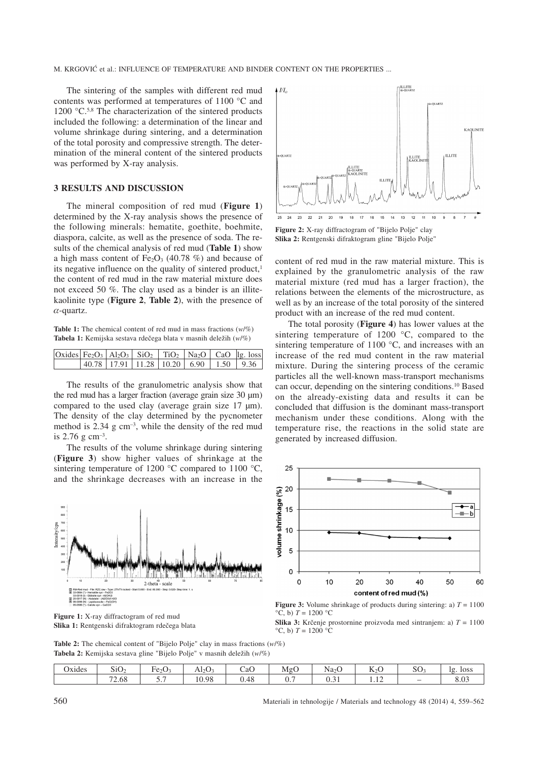The sintering of the samples with different red mud contents was performed at temperatures of 1100 °C and 1200 °C.<sup>5,8</sup> The characterization of the sintered products included the following: a determination of the linear and volume shrinkage during sintering, and a determination of the total porosity and compressive strength. The determination of the mineral content of the sintered products was performed by X-ray analysis.

### **3 RESULTS AND DISCUSSION**

The mineral composition of red mud (**Figure 1**) determined by the X-ray analysis shows the presence of the following minerals: hematite, goethite, boehmite, diaspora, calcite, as well as the presence of soda. The results of the chemical analysis of red mud (**Table 1**) show a high mass content of  $Fe<sub>2</sub>O<sub>3</sub>$  (40.78 %) and because of its negative influence on the quality of sintered product, $<sup>1</sup>$ </sup> the content of red mud in the raw material mixture does not exceed 50 %. The clay used as a binder is an illitekaolinite type (**Figure 2**, **Table 2**), with the presence of  $\alpha$ -quartz.

**Table 1:** The chemical content of red mud in mass fractions (*w*/%) Tabela 1: Kemijska sestava rdečega blata v masnih deležih (w/%)

| $\vert$ Oxides Fe <sub>2</sub> O <sub>3</sub> $\vert$ Al <sub>2</sub> O <sub>3</sub> $\vert$ SiO <sub>2</sub> $\vert$ TiO <sub>2</sub> $\vert$ Na <sub>2</sub> O $\vert$ CaO $\vert$ lg. loss |                                            |  |  |  |
|-----------------------------------------------------------------------------------------------------------------------------------------------------------------------------------------------|--------------------------------------------|--|--|--|
|                                                                                                                                                                                               | $ 40.78 17.91 11.28 10.20 6.90 1.50 9.36 $ |  |  |  |

The results of the granulometric analysis show that the red mud has a larger fraction (average grain size 30 μm) compared to the used clay (average grain size 17 μm). The density of the clay determined by the pycnometer method is  $2.34$  g cm<sup>-3</sup>, while the density of the red mud is 2.76 g cm–3.

The results of the volume shrinkage during sintering (**Figure 3**) show higher values of shrinkage at the sintering temperature of 1200 °C compared to 1100 °C, and the shrinkage decreases with an increase in the



**Figure 1:** X-ray diffractogram of red mud Slika 1: Rentgenski difraktogram rdečega blata



**Figure 2:** X-ray diffractogram of "Bijelo Polje" clay **Slika 2:** Rentgenski difraktogram gline "Bijelo Polje"

content of red mud in the raw material mixture. This is explained by the granulometric analysis of the raw material mixture (red mud has a larger fraction), the relations between the elements of the microstructure, as well as by an increase of the total porosity of the sintered product with an increase of the red mud content.

The total porosity (**Figure 4**) has lower values at the sintering temperature of 1200 °C, compared to the sintering temperature of 1100 °C, and increases with an increase of the red mud content in the raw material mixture. During the sintering process of the ceramic particles all the well-known mass-transport mechanisms can occur, depending on the sintering conditions.10 Based on the already-existing data and results it can be concluded that diffusion is the dominant mass-transport mechanism under these conditions. Along with the temperature rise, the reactions in the solid state are generated by increased diffusion.



**Figure 3:** Volume shrinkage of products during sintering: a)  $T = 1100$  $^{\circ}$ C, b)  $T = 1200$   $^{\circ}$ C

**Slika 3:** Krčenje prostornine proizvoda med sintranjem: a)  $T = 1100$  $\rm{^{\circ}C}$ , b)  $T = 1200$   $\rm{^{\circ}C}$ 

**Table 2:** The chemical content of "Bijelo Polje" clay in mass fractions (*w*/%) Tabela 2: Kemijska sestava gline "Bijelo Polje" v masnih deležih (*w/%*)

| $\sim$ $\sim$<br>. . | $\sim$ $\sim$                    |                                      |                         | -    | . .<br>∽        | $\sim$ $\sim$ | $-$                     | n n             |                   |
|----------------------|----------------------------------|--------------------------------------|-------------------------|------|-----------------|---------------|-------------------------|-----------------|-------------------|
| Jxides               | SU <sub>2</sub>                  | Fe <sub>2</sub> O <sub>z</sub>       | $\text{Al}_2\text{O}_3$ | CaO  | MgO             | $Na2$ U       | $\mathbb{N}2\mathbb{C}$ | SO <sub>2</sub> | <b>loss</b><br>lσ |
|                      | $\overline{\phantom{a}}$<br>7.08 | the contract of the con-<br><u>.</u> | 10.98                   | 0.48 | $\mathbf{U}$ ., | v.v           | $1.1 -$                 |                 | 0.02<br>o.v.      |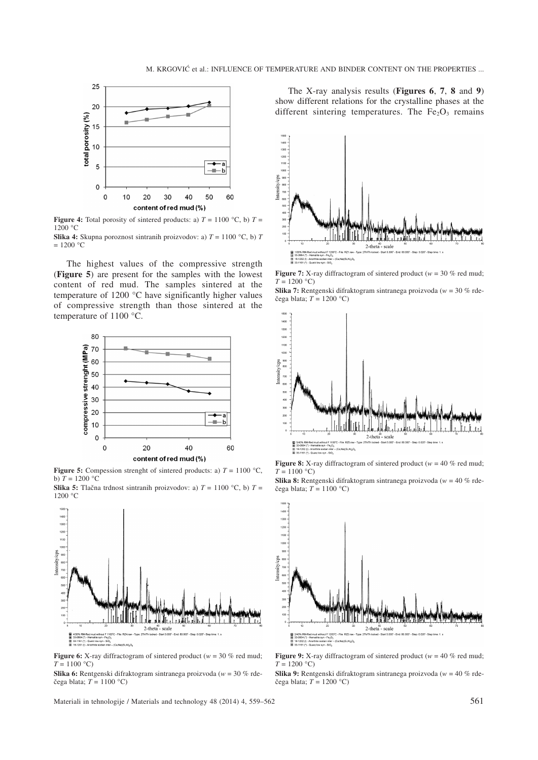

**Figure 4:** Total porosity of sintered products: a)  $T = 1100$  °C, b)  $T =$ 1200 °C

**Slika 4:** Skupna poroznost sintranih proizvodov: a)  $T = 1100 \degree C$ , b) *T*  $= 1200 °C$ 

The highest values of the compressive strength (**Figure 5**) are present for the samples with the lowest content of red mud. The samples sintered at the temperature of 1200 °C have significantly higher values of compressive strength than those sintered at the temperature of 1100 °C.



**Figure 5:** Compession strenght of sintered products: a)  $T = 1100 \text{ °C}$ , b)  $T = 1200 °C$ 

**Slika 5:** Tlačna trdnost sintranih proizvodov: a)  $T = 1100$  °C, b)  $T =$  $1200 °C$ 



**Figure 6:** X-ray diffractogram of sintered product ( $w = 30$  % red mud;  $T = 1100 °C$ 

**Slika 6:** Rentgenski difraktogram sintranega proizvoda (*w* = 30 % rde čega blata;  $T = 1100$  °C)

Materiali in tehnologije / Materials and technology 48 (2014) 4, 559–562 561

The X-ray analysis results (**Figures 6**, **7**, **8** and **9**) show different relations for the crystalline phases at the different sintering temperatures. The  $Fe<sub>2</sub>O<sub>3</sub>$  remains



**Figure 7:** X-ray diffractogram of sintered product ( $w = 30$  % red mud;  $T = 1200$  °C)

**Slika 7:** Rentgenski difraktogram sintranega proizvoda (*w* = 30 % rde čega blata;  $T = 1200 °C$ )



**Figure 8:** X-ray diffractogram of sintered product ( $w = 40$  % red mud;  $T = 1100$  °C)

**Slika 8:** Rentgenski difraktogram sintranega proizvoda (*w* = 40 % rde čega blata;  $T = 1100$  °C)



**Figure 9:** X-ray diffractogram of sintered product ( $w = 40$  % red mud;  $T = 1200 °C$ 

**Slika 9:** Rentgenski difraktogram sintranega proizvoda (*w* = 40 % rde čega blata;  $T = 1200$  °C)